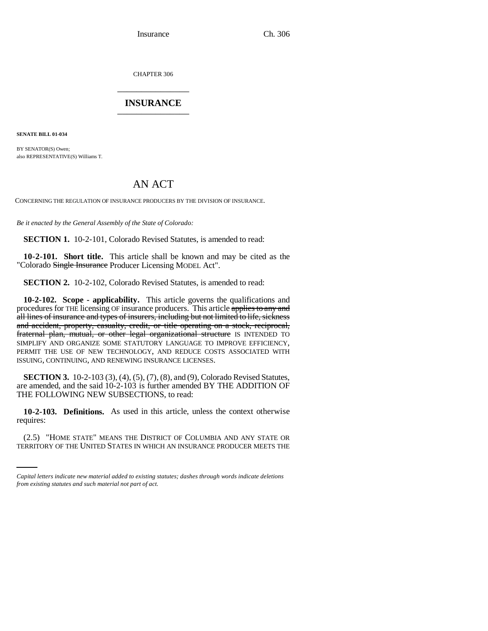CHAPTER 306 \_\_\_\_\_\_\_\_\_\_\_\_\_\_\_

# **INSURANCE** \_\_\_\_\_\_\_\_\_\_\_\_\_\_\_

**SENATE BILL 01-034**

BY SENATOR(S) Owen; also REPRESENTATIVE(S) Williams T.

# AN ACT

CONCERNING THE REGULATION OF INSURANCE PRODUCERS BY THE DIVISION OF INSURANCE.

*Be it enacted by the General Assembly of the State of Colorado:*

**SECTION 1.** 10-2-101, Colorado Revised Statutes, is amended to read:

**10-2-101. Short title.** This article shall be known and may be cited as the "Colorado Single Insurance Producer Licensing MODEL Act".

**SECTION 2.** 10-2-102, Colorado Revised Statutes, is amended to read:

**10-2-102. Scope - applicability.** This article governs the qualifications and procedures for THE licensing OF insurance producers. This article applies to any and all lines of insurance and types of insurers, including but not limited to life, sickness and accident, property, casualty, credit, or title operating on a stock, reciprocal, fraternal plan, mutual, or other legal organizational structure IS INTENDED TO SIMPLIFY AND ORGANIZE SOME STATUTORY LANGUAGE TO IMPROVE EFFICIENCY, PERMIT THE USE OF NEW TECHNOLOGY, AND REDUCE COSTS ASSOCIATED WITH ISSUING, CONTINUING, AND RENEWING INSURANCE LICENSES.

**SECTION 3.** 10-2-103 (3), (4), (5), (7), (8), and (9), Colorado Revised Statutes, are amended, and the said 10-2-103 is further amended BY THE ADDITION OF THE FOLLOWING NEW SUBSECTIONS, to read:

requires: **10-2-103. Definitions.** As used in this article, unless the context otherwise

(2.5) "HOME STATE" MEANS THE DISTRICT OF COLUMBIA AND ANY STATE OR TERRITORY OF THE UNITED STATES IN WHICH AN INSURANCE PRODUCER MEETS THE

*Capital letters indicate new material added to existing statutes; dashes through words indicate deletions from existing statutes and such material not part of act.*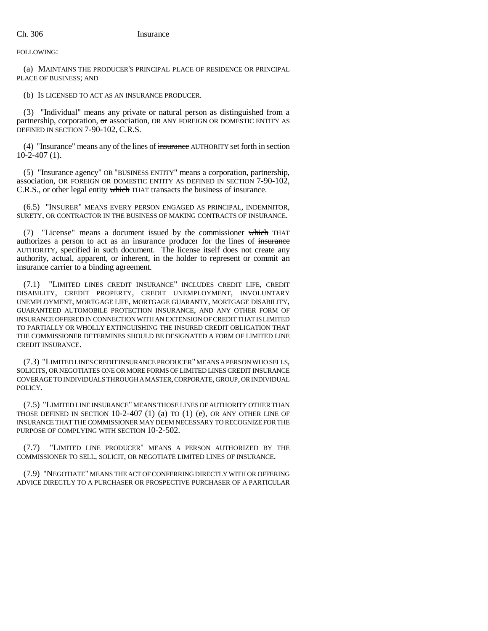FOLLOWING:

(a) MAINTAINS THE PRODUCER'S PRINCIPAL PLACE OF RESIDENCE OR PRINCIPAL PLACE OF BUSINESS; AND

(b) IS LICENSED TO ACT AS AN INSURANCE PRODUCER.

(3) "Individual" means any private or natural person as distinguished from a partnership, corporation, or association, OR ANY FOREIGN OR DOMESTIC ENTITY AS DEFINED IN SECTION 7-90-102, C.R.S.

(4) "Insurance" means any of the lines of insurance AUTHORITY set forth in section 10-2-407 (1).

(5) "Insurance agency" OR "BUSINESS ENTITY" means a corporation, partnership, association, OR FOREIGN OR DOMESTIC ENTITY AS DEFINED IN SECTION 7-90-102, C.R.S., or other legal entity which THAT transacts the business of insurance.

(6.5) "INSURER" MEANS EVERY PERSON ENGAGED AS PRINCIPAL, INDEMNITOR, SURETY, OR CONTRACTOR IN THE BUSINESS OF MAKING CONTRACTS OF INSURANCE.

(7) "License" means a document issued by the commissioner which THAT authorizes a person to act as an insurance producer for the lines of insurance AUTHORITY, specified in such document. The license itself does not create any authority, actual, apparent, or inherent, in the holder to represent or commit an insurance carrier to a binding agreement.

(7.1) "LIMITED LINES CREDIT INSURANCE" INCLUDES CREDIT LIFE, CREDIT DISABILITY, CREDIT PROPERTY, CREDIT UNEMPLOYMENT, INVOLUNTARY UNEMPLOYMENT, MORTGAGE LIFE, MORTGAGE GUARANTY, MORTGAGE DISABILITY, GUARANTEED AUTOMOBILE PROTECTION INSURANCE, AND ANY OTHER FORM OF INSURANCE OFFERED IN CONNECTION WITH AN EXTENSION OF CREDIT THAT IS LIMITED TO PARTIALLY OR WHOLLY EXTINGUISHING THE INSURED CREDIT OBLIGATION THAT THE COMMISSIONER DETERMINES SHOULD BE DESIGNATED A FORM OF LIMITED LINE CREDIT INSURANCE.

(7.3) "LIMITED LINES CREDIT INSURANCE PRODUCER" MEANS A PERSON WHO SELLS, SOLICITS, OR NEGOTIATES ONE OR MORE FORMS OF LIMITED LINES CREDIT INSURANCE COVERAGE TO INDIVIDUALS THROUGH A MASTER, CORPORATE, GROUP, OR INDIVIDUAL POLICY.

(7.5) "LIMITED LINE INSURANCE" MEANS THOSE LINES OF AUTHORITY OTHER THAN THOSE DEFINED IN SECTION  $10-2-407$  (1) (a) to (1) (e), OR ANY OTHER LINE OF INSURANCE THAT THE COMMISSIONER MAY DEEM NECESSARY TO RECOGNIZE FOR THE PURPOSE OF COMPLYING WITH SECTION 10-2-502.

"LIMITED LINE PRODUCER" MEANS A PERSON AUTHORIZED BY THE COMMISSIONER TO SELL, SOLICIT, OR NEGOTIATE LIMITED LINES OF INSURANCE.

(7.9) "NEGOTIATE" MEANS THE ACT OF CONFERRING DIRECTLY WITH OR OFFERING ADVICE DIRECTLY TO A PURCHASER OR PROSPECTIVE PURCHASER OF A PARTICULAR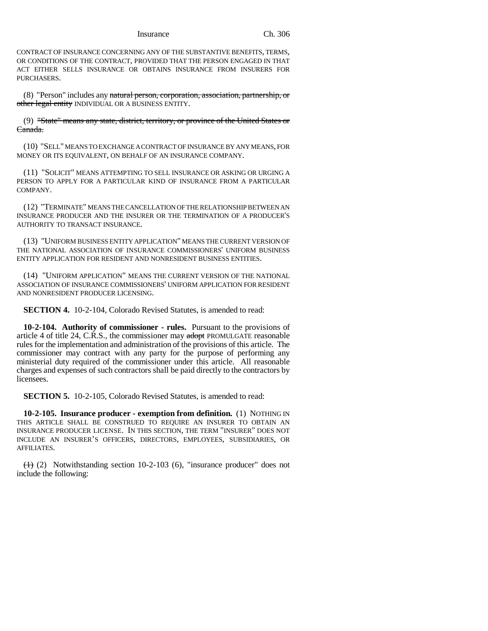CONTRACT OF INSURANCE CONCERNING ANY OF THE SUBSTANTIVE BENEFITS, TERMS, OR CONDITIONS OF THE CONTRACT, PROVIDED THAT THE PERSON ENGAGED IN THAT ACT EITHER SELLS INSURANCE OR OBTAINS INSURANCE FROM INSURERS FOR PURCHASERS.

(8) "Person" includes any natural person, corporation, association, partnership, or other legal entity INDIVIDUAL OR A BUSINESS ENTITY.

(9) "State" means any state, district, territory, or province of the United States or Canada.

(10) "SELL" MEANS TO EXCHANGE A CONTRACT OF INSURANCE BY ANY MEANS, FOR MONEY OR ITS EQUIVALENT, ON BEHALF OF AN INSURANCE COMPANY.

(11) "SOLICIT" MEANS ATTEMPTING TO SELL INSURANCE OR ASKING OR URGING A PERSON TO APPLY FOR A PARTICULAR KIND OF INSURANCE FROM A PARTICULAR COMPANY.

(12) "TERMINATE" MEANS THE CANCELLATION OF THE RELATIONSHIP BETWEEN AN INSURANCE PRODUCER AND THE INSURER OR THE TERMINATION OF A PRODUCER'S AUTHORITY TO TRANSACT INSURANCE.

(13) "UNIFORM BUSINESS ENTITY APPLICATION" MEANS THE CURRENT VERSION OF THE NATIONAL ASSOCIATION OF INSURANCE COMMISSIONERS' UNIFORM BUSINESS ENTITY APPLICATION FOR RESIDENT AND NONRESIDENT BUSINESS ENTITIES.

(14) "UNIFORM APPLICATION" MEANS THE CURRENT VERSION OF THE NATIONAL ASSOCIATION OF INSURANCE COMMISSIONERS' UNIFORM APPLICATION FOR RESIDENT AND NONRESIDENT PRODUCER LICENSING.

**SECTION 4.** 10-2-104, Colorado Revised Statutes, is amended to read:

**10-2-104. Authority of commissioner - rules.** Pursuant to the provisions of article 4 of title 24, C.R.S., the commissioner may adopt PROMULGATE reasonable rules for the implementation and administration of the provisions of this article. The commissioner may contract with any party for the purpose of performing any ministerial duty required of the commissioner under this article. All reasonable charges and expenses of such contractors shall be paid directly to the contractors by licensees.

**SECTION 5.** 10-2-105, Colorado Revised Statutes, is amended to read:

**10-2-105. Insurance producer - exemption from definition.** (1) NOTHING IN THIS ARTICLE SHALL BE CONSTRUED TO REQUIRE AN INSURER TO OBTAIN AN INSURANCE PRODUCER LICENSE. IN THIS SECTION, THE TERM "INSURER" DOES NOT INCLUDE AN INSURER'S OFFICERS, DIRECTORS, EMPLOYEES, SUBSIDIARIES, OR AFFILIATES.

 $(1)$  (2) Notwithstanding section 10-2-103 (6), "insurance producer" does not include the following: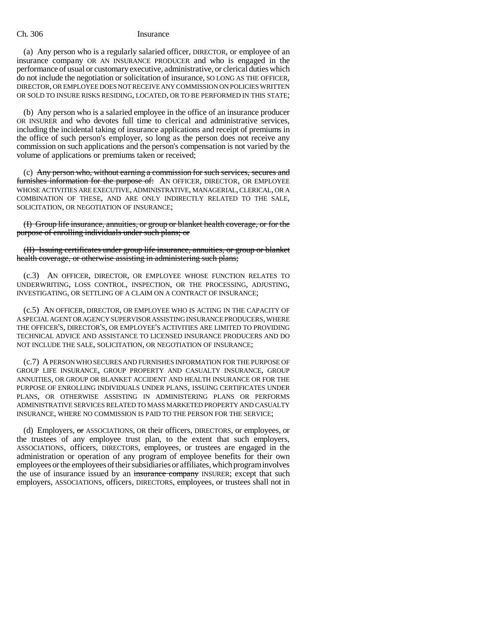(a) Any person who is a regularly salaried officer, DIRECTOR, or employee of an insurance company OR AN INSURANCE PRODUCER and who is engaged in the performance of usual or customary executive, administrative, or clerical duties which do not include the negotiation or solicitation of insurance, SO LONG AS THE OFFICER, DIRECTOR, OR EMPLOYEE DOES NOT RECEIVE ANY COMMISSION ON POLICIES WRITTEN OR SOLD TO INSURE RISKS RESIDING, LOCATED, OR TO BE PERFORMED IN THIS STATE;

(b) Any person who is a salaried employee in the office of an insurance producer OR INSURER and who devotes full time to clerical and administrative services, including the incidental taking of insurance applications and receipt of premiums in the office of such person's employer, so long as the person does not receive any commission on such applications and the person's compensation is not varied by the volume of applications or premiums taken or received;

(c) Any person who, without earning a commission for such services, secures and furnishes information for the purpose of: AN OFFICER, DIRECTOR, OR EMPLOYEE WHOSE ACTIVITIES ARE EXECUTIVE, ADMINISTRATIVE, MANAGERIAL, CLERICAL, OR A COMBINATION OF THESE, AND ARE ONLY INDIRECTLY RELATED TO THE SALE, SOLICITATION, OR NEGOTIATION OF INSURANCE;

(I) Group life insurance, annuities, or group or blanket health coverage, or for the purpose of enrolling individuals under such plans; or

(II) Issuing certificates under group life insurance, annuities, or group or blanket health coverage, or otherwise assisting in administering such plans;

(c.3) AN OFFICER, DIRECTOR, OR EMPLOYEE WHOSE FUNCTION RELATES TO UNDERWRITING, LOSS CONTROL, INSPECTION, OR THE PROCESSING, ADJUSTING, INVESTIGATING, OR SETTLING OF A CLAIM ON A CONTRACT OF INSURANCE;

(c.5) AN OFFICER, DIRECTOR, OR EMPLOYEE WHO IS ACTING IN THE CAPACITY OF A SPECIAL AGENT OR AGENCY SUPERVISOR ASSISTING INSURANCE PRODUCERS, WHERE THE OFFICER'S, DIRECTOR'S, OR EMPLOYEE'S ACTIVITIES ARE LIMITED TO PROVIDING TECHNICAL ADVICE AND ASSISTANCE TO LICENSED INSURANCE PRODUCERS AND DO NOT INCLUDE THE SALE, SOLICITATION, OR NEGOTIATION OF INSURANCE;

(c.7) A PERSON WHO SECURES AND FURNISHES INFORMATION FOR THE PURPOSE OF GROUP LIFE INSURANCE, GROUP PROPERTY AND CASUALTY INSURANCE, GROUP ANNUITIES, OR GROUP OR BLANKET ACCIDENT AND HEALTH INSURANCE OR FOR THE PURPOSE OF ENROLLING INDIVIDUALS UNDER PLANS, ISSUING CERTIFICATES UNDER PLANS, OR OTHERWISE ASSISTING IN ADMINISTERING PLANS OR PERFORMS ADMINISTRATIVE SERVICES RELATED TO MASS MARKETED PROPERTY AND CASUALTY INSURANCE, WHERE NO COMMISSION IS PAID TO THE PERSON FOR THE SERVICE;

(d) Employers, or ASSOCIATIONS, OR their officers, DIRECTORS, or employees, or the trustees of any employee trust plan, to the extent that such employers, ASSOCIATIONS, officers, DIRECTORS, employees, or trustees are engaged in the administration or operation of any program of employee benefits for their own employees or the employees of their subsidiaries or affiliates, which program involves the use of insurance issued by an insurance company INSURER; except that such employers, ASSOCIATIONS, officers, DIRECTORS, employees, or trustees shall not in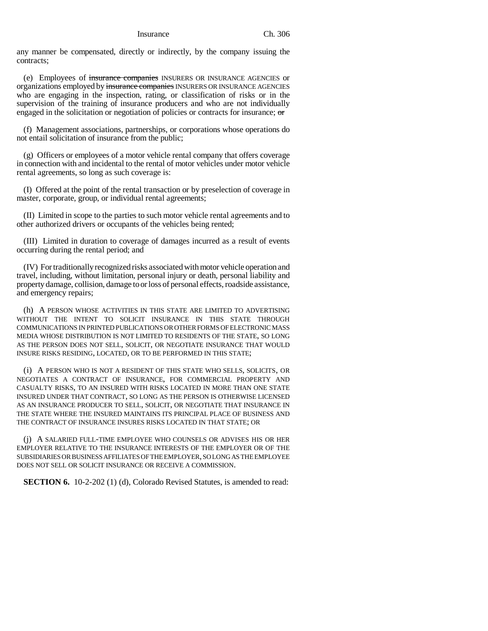any manner be compensated, directly or indirectly, by the company issuing the contracts;

(e) Employees of insurance companies INSURERS OR INSURANCE AGENCIES or organizations employed by insurance companies INSURERS OR INSURANCE AGENCIES who are engaging in the inspection, rating, or classification of risks or in the supervision of the training of insurance producers and who are not individually engaged in the solicitation or negotiation of policies or contracts for insurance; or

(f) Management associations, partnerships, or corporations whose operations do not entail solicitation of insurance from the public;

(g) Officers or employees of a motor vehicle rental company that offers coverage in connection with and incidental to the rental of motor vehicles under motor vehicle rental agreements, so long as such coverage is:

(I) Offered at the point of the rental transaction or by preselection of coverage in master, corporate, group, or individual rental agreements;

(II) Limited in scope to the parties to such motor vehicle rental agreements and to other authorized drivers or occupants of the vehicles being rented;

(III) Limited in duration to coverage of damages incurred as a result of events occurring during the rental period; and

(IV) For traditionally recognized risks associated with motor vehicle operation and travel, including, without limitation, personal injury or death, personal liability and property damage, collision, damage to or loss of personal effects, roadside assistance, and emergency repairs;

(h) A PERSON WHOSE ACTIVITIES IN THIS STATE ARE LIMITED TO ADVERTISING WITHOUT THE INTENT TO SOLICIT INSURANCE IN THIS STATE THROUGH COMMUNICATIONS IN PRINTED PUBLICATIONS OR OTHER FORMS OF ELECTRONIC MASS MEDIA WHOSE DISTRIBUTION IS NOT LIMITED TO RESIDENTS OF THE STATE, SO LONG AS THE PERSON DOES NOT SELL, SOLICIT, OR NEGOTIATE INSURANCE THAT WOULD INSURE RISKS RESIDING, LOCATED, OR TO BE PERFORMED IN THIS STATE;

(i) A PERSON WHO IS NOT A RESIDENT OF THIS STATE WHO SELLS, SOLICITS, OR NEGOTIATES A CONTRACT OF INSURANCE, FOR COMMERCIAL PROPERTY AND CASUALTY RISKS, TO AN INSURED WITH RISKS LOCATED IN MORE THAN ONE STATE INSURED UNDER THAT CONTRACT, SO LONG AS THE PERSON IS OTHERWISE LICENSED AS AN INSURANCE PRODUCER TO SELL, SOLICIT, OR NEGOTIATE THAT INSURANCE IN THE STATE WHERE THE INSURED MAINTAINS ITS PRINCIPAL PLACE OF BUSINESS AND THE CONTRACT OF INSURANCE INSURES RISKS LOCATED IN THAT STATE; OR

(j) A SALARIED FULL-TIME EMPLOYEE WHO COUNSELS OR ADVISES HIS OR HER EMPLOYER RELATIVE TO THE INSURANCE INTERESTS OF THE EMPLOYER OR OF THE SUBSIDIARIES OR BUSINESS AFFILIATES OF THE EMPLOYER, SO LONG AS THE EMPLOYEE DOES NOT SELL OR SOLICIT INSURANCE OR RECEIVE A COMMISSION.

**SECTION 6.** 10-2-202 (1) (d), Colorado Revised Statutes, is amended to read: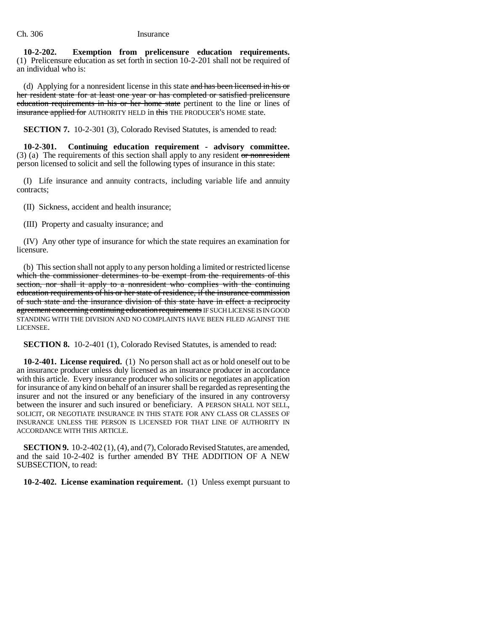**10-2-202. Exemption from prelicensure education requirements.** (1) Prelicensure education as set forth in section 10-2-201 shall not be required of an individual who is:

(d) Applying for a nonresident license in this state and has been licensed in his or her resident state for at least one year or has completed or satisfied prelicensure education requirements in his or her home state pertinent to the line or lines of insurance applied for AUTHORITY HELD in this THE PRODUCER'S HOME state.

**SECTION 7.** 10-2-301 (3), Colorado Revised Statutes, is amended to read:

**10-2-301. Continuing education requirement - advisory committee.**  $(3)$  (a) The requirements of this section shall apply to any resident or nonresident person licensed to solicit and sell the following types of insurance in this state:

(I) Life insurance and annuity contracts, including variable life and annuity contracts;

(II) Sickness, accident and health insurance;

(III) Property and casualty insurance; and

(IV) Any other type of insurance for which the state requires an examination for licensure.

(b) This section shall not apply to any person holding a limited or restricted license which the commissioner determines to be exempt from the requirements of this section, nor shall it apply to a nonresident who complies with the continuing education requirements of his or her state of residence, if the insurance commission of such state and the insurance division of this state have in effect a reciprocity agreement concerning continuing education requirements IF SUCH LICENSE IS IN GOOD STANDING WITH THE DIVISION AND NO COMPLAINTS HAVE BEEN FILED AGAINST THE LICENSEE.

**SECTION 8.** 10-2-401 (1), Colorado Revised Statutes, is amended to read:

**10-2-401. License required.** (1) No person shall act as or hold oneself out to be an insurance producer unless duly licensed as an insurance producer in accordance with this article. Every insurance producer who solicits or negotiates an application for insurance of any kind on behalf of an insurer shall be regarded as representing the insurer and not the insured or any beneficiary of the insured in any controversy between the insurer and such insured or beneficiary. A PERSON SHALL NOT SELL, SOLICIT, OR NEGOTIATE INSURANCE IN THIS STATE FOR ANY CLASS OR CLASSES OF INSURANCE UNLESS THE PERSON IS LICENSED FOR THAT LINE OF AUTHORITY IN ACCORDANCE WITH THIS ARTICLE.

**SECTION 9.** 10-2-402 (1), (4), and (7), Colorado Revised Statutes, are amended, and the said 10-2-402 is further amended BY THE ADDITION OF A NEW SUBSECTION, to read:

**10-2-402. License examination requirement.** (1) Unless exempt pursuant to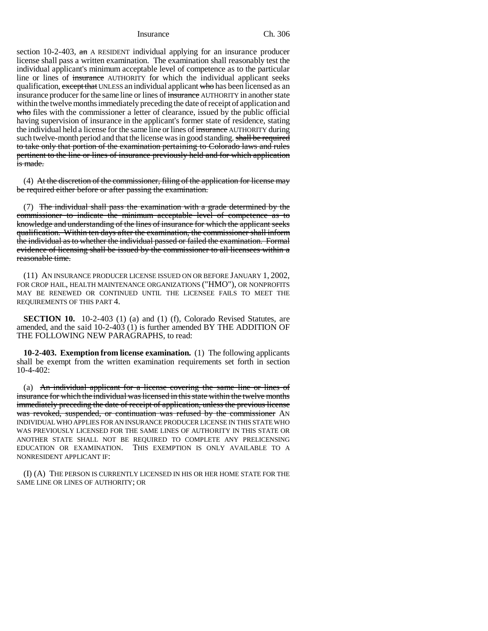section 10-2-403,  $\theta$  and A RESIDENT individual applying for an insurance producer license shall pass a written examination. The examination shall reasonably test the individual applicant's minimum acceptable level of competence as to the particular line or lines of insurance AUTHORITY for which the individual applicant seeks qualification, except that UNLESS an individual applicant who has been licensed as an insurance producer for the same line or lines of insurance AUTHORITY in another state within the twelve months immediately preceding the date of receipt of application and who files with the commissioner a letter of clearance, issued by the public official having supervision of insurance in the applicant's former state of residence, stating the individual held a license for the same line or lines of insurance AUTHORITY during such twelve-month period and that the license was in good standing. shall be required to take only that portion of the examination pertaining to Colorado laws and rules pertinent to the line or lines of insurance previously held and for which application is made.

(4) At the discretion of the commissioner, filing of the application for license may be required either before or after passing the examination.

(7) The individual shall pass the examination with a grade determined by the commissioner to indicate the minimum acceptable level of competence as to knowledge and understanding of the lines of insurance for which the applicant seeks qualification. Within ten days after the examination, the commissioner shall inform the individual as to whether the individual passed or failed the examination. Formal evidence of licensing shall be issued by the commissioner to all licensees within a reasonable time.

(11) AN INSURANCE PRODUCER LICENSE ISSUED ON OR BEFORE JANUARY 1, 2002, FOR CROP HAIL, HEALTH MAINTENANCE ORGANIZATIONS ("HMO"), OR NONPROFITS MAY BE RENEWED OR CONTINUED UNTIL THE LICENSEE FAILS TO MEET THE REQUIREMENTS OF THIS PART 4.

**SECTION 10.** 10-2-403 (1) (a) and (1) (f), Colorado Revised Statutes, are amended, and the said 10-2-403 (1) is further amended BY THE ADDITION OF THE FOLLOWING NEW PARAGRAPHS, to read:

**10-2-403. Exemption from license examination.** (1) The following applicants shall be exempt from the written examination requirements set forth in section 10-4-402:

(a) An individual applicant for a license covering the same line or lines of insurance for which the individual was licensed in this state within the twelve months immediately preceding the date of receipt of application, unless the previous license was revoked, suspended, or continuation was refused by the commissioner AN INDIVIDUAL WHO APPLIES FOR AN INSURANCE PRODUCER LICENSE IN THIS STATE WHO WAS PREVIOUSLY LICENSED FOR THE SAME LINES OF AUTHORITY IN THIS STATE OR ANOTHER STATE SHALL NOT BE REQUIRED TO COMPLETE ANY PRELICENSING EDUCATION OR EXAMINATION. THIS EXEMPTION IS ONLY AVAILABLE TO A NONRESIDENT APPLICANT IF:

(I) (A) THE PERSON IS CURRENTLY LICENSED IN HIS OR HER HOME STATE FOR THE SAME LINE OR LINES OF AUTHORITY; OR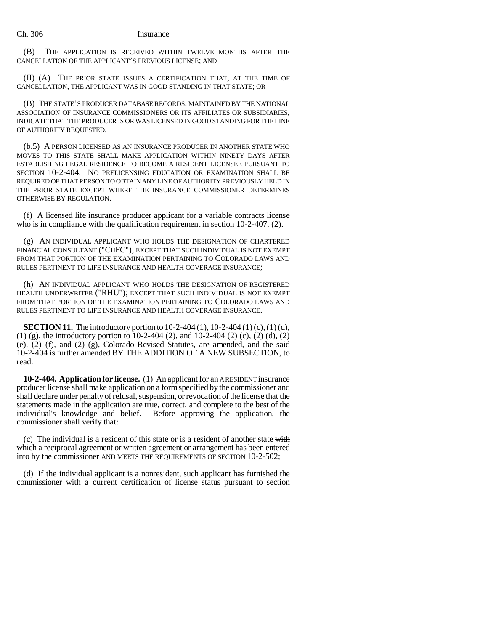(B) THE APPLICATION IS RECEIVED WITHIN TWELVE MONTHS AFTER THE CANCELLATION OF THE APPLICANT'S PREVIOUS LICENSE; AND

(II) (A) THE PRIOR STATE ISSUES A CERTIFICATION THAT, AT THE TIME OF CANCELLATION, THE APPLICANT WAS IN GOOD STANDING IN THAT STATE; OR

(B) THE STATE'S PRODUCER DATABASE RECORDS, MAINTAINED BY THE NATIONAL ASSOCIATION OF INSURANCE COMMISSIONERS OR ITS AFFILIATES OR SUBSIDIARIES, INDICATE THAT THE PRODUCER IS OR WAS LICENSED IN GOOD STANDING FOR THE LINE OF AUTHORITY REQUESTED.

(b.5) A PERSON LICENSED AS AN INSURANCE PRODUCER IN ANOTHER STATE WHO MOVES TO THIS STATE SHALL MAKE APPLICATION WITHIN NINETY DAYS AFTER ESTABLISHING LEGAL RESIDENCE TO BECOME A RESIDENT LICENSEE PURSUANT TO SECTION 10-2-404. NO PRELICENSING EDUCATION OR EXAMINATION SHALL BE REQUIRED OF THAT PERSON TO OBTAIN ANY LINE OF AUTHORITY PREVIOUSLY HELD IN THE PRIOR STATE EXCEPT WHERE THE INSURANCE COMMISSIONER DETERMINES OTHERWISE BY REGULATION.

(f) A licensed life insurance producer applicant for a variable contracts license who is in compliance with the qualification requirement in section 10-2-407.  $\left(2\right)$ .

(g) AN INDIVIDUAL APPLICANT WHO HOLDS THE DESIGNATION OF CHARTERED FINANCIAL CONSULTANT ("CHFC"); EXCEPT THAT SUCH INDIVIDUAL IS NOT EXEMPT FROM THAT PORTION OF THE EXAMINATION PERTAINING TO COLORADO LAWS AND RULES PERTINENT TO LIFE INSURANCE AND HEALTH COVERAGE INSURANCE;

(h) AN INDIVIDUAL APPLICANT WHO HOLDS THE DESIGNATION OF REGISTERED HEALTH UNDERWRITER ("RHU"); EXCEPT THAT SUCH INDIVIDUAL IS NOT EXEMPT FROM THAT PORTION OF THE EXAMINATION PERTAINING TO COLORADO LAWS AND RULES PERTINENT TO LIFE INSURANCE AND HEALTH COVERAGE INSURANCE.

**SECTION 11.** The introductory portion to 10-2-404 (1), 10-2-404 (1) (c), (1) (d), (1) (g), the introductory portion to 10-2-404 (2), and 10-2-404 (2) (c), (2) (d), (2) (e), (2) (f), and (2) (g), Colorado Revised Statutes, are amended, and the said 10-2-404 is further amended BY THE ADDITION OF A NEW SUBSECTION, to read:

**10-2-404. Application for license.** (1) An applicant for an A RESIDENT insurance producer license shall make application on a form specified by the commissioner and shall declare under penalty of refusal, suspension, or revocation of the license that the statements made in the application are true, correct, and complete to the best of the individual's knowledge and belief. Before approving the application, the commissioner shall verify that:

(c) The individual is a resident of this state or is a resident of another state with which a reciprocal agreement or written agreement or arrangement has been entered into by the commissioner AND MEETS THE REQUIREMENTS OF SECTION 10-2-502;

(d) If the individual applicant is a nonresident, such applicant has furnished the commissioner with a current certification of license status pursuant to section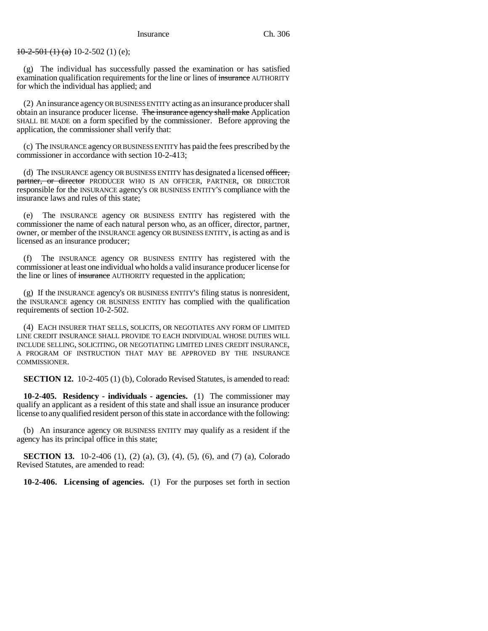$10-2-501$  (1) (a) 10-2-502 (1) (e);

(g) The individual has successfully passed the examination or has satisfied examination qualification requirements for the line or lines of insurance AUTHORITY for which the individual has applied; and

(2) An insurance agency OR BUSINESS ENTITY acting as an insurance producer shall obtain an insurance producer license. The insurance agency shall make Application SHALL BE MADE on a form specified by the commissioner. Before approving the application, the commissioner shall verify that:

(c) The INSURANCE agency OR BUSINESS ENTITY has paid the fees prescribed by the commissioner in accordance with section 10-2-413;

(d) The INSURANCE agency OR BUSINESS ENTITY has designated a licensed officer, partner, or director PRODUCER WHO IS AN OFFICER, PARTNER, OR DIRECTOR responsible for the INSURANCE agency's OR BUSINESS ENTITY'S compliance with the insurance laws and rules of this state;

(e) The INSURANCE agency OR BUSINESS ENTITY has registered with the commissioner the name of each natural person who, as an officer, director, partner, owner, or member of the INSURANCE agency OR BUSINESS ENTITY, is acting as and is licensed as an insurance producer;

(f) The INSURANCE agency OR BUSINESS ENTITY has registered with the commissioner at least one individual who holds a valid insurance producer license for the line or lines of insurance AUTHORITY requested in the application;

(g) If the INSURANCE agency's OR BUSINESS ENTITY'S filing status is nonresident, the INSURANCE agency OR BUSINESS ENTITY has complied with the qualification requirements of section 10-2-502.

(4) EACH INSURER THAT SELLS, SOLICITS, OR NEGOTIATES ANY FORM OF LIMITED LINE CREDIT INSURANCE SHALL PROVIDE TO EACH INDIVIDUAL WHOSE DUTIES WILL INCLUDE SELLING, SOLICITING, OR NEGOTIATING LIMITED LINES CREDIT INSURANCE, A PROGRAM OF INSTRUCTION THAT MAY BE APPROVED BY THE INSURANCE COMMISSIONER.

**SECTION 12.** 10-2-405 (1) (b), Colorado Revised Statutes, is amended to read:

**10-2-405. Residency - individuals - agencies.** (1) The commissioner may qualify an applicant as a resident of this state and shall issue an insurance producer license to any qualified resident person of this state in accordance with the following:

(b) An insurance agency OR BUSINESS ENTITY may qualify as a resident if the agency has its principal office in this state;

**SECTION 13.** 10-2-406 (1), (2) (a), (3), (4), (5), (6), and (7) (a), Colorado Revised Statutes, are amended to read:

**10-2-406. Licensing of agencies.** (1) For the purposes set forth in section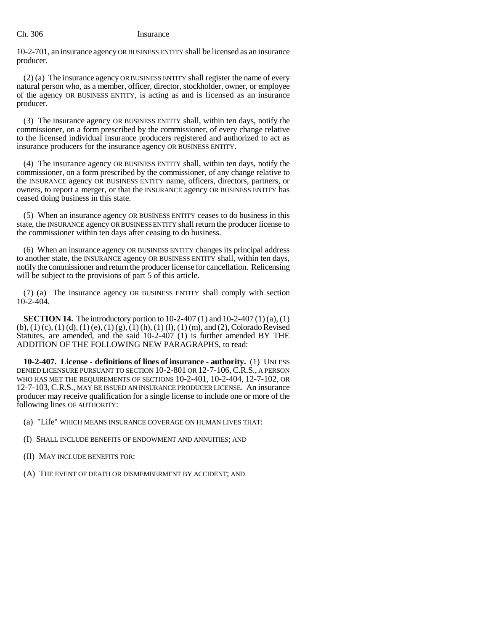10-2-701, an insurance agency OR BUSINESS ENTITY shall be licensed as an insurance producer.

(2) (a) The insurance agency OR BUSINESS ENTITY shall register the name of every natural person who, as a member, officer, director, stockholder, owner, or employee of the agency OR BUSINESS ENTITY, is acting as and is licensed as an insurance producer.

(3) The insurance agency OR BUSINESS ENTITY shall, within ten days, notify the commissioner, on a form prescribed by the commissioner, of every change relative to the licensed individual insurance producers registered and authorized to act as insurance producers for the insurance agency OR BUSINESS ENTITY.

(4) The insurance agency OR BUSINESS ENTITY shall, within ten days, notify the commissioner, on a form prescribed by the commissioner, of any change relative to the INSURANCE agency OR BUSINESS ENTITY name, officers, directors, partners, or owners, to report a merger, or that the INSURANCE agency OR BUSINESS ENTITY has ceased doing business in this state.

(5) When an insurance agency OR BUSINESS ENTITY ceases to do business in this state, the INSURANCE agency OR BUSINESS ENTITY shall return the producer license to the commissioner within ten days after ceasing to do business.

(6) When an insurance agency OR BUSINESS ENTITY changes its principal address to another state, the INSURANCE agency OR BUSINESS ENTITY shall, within ten days, notify the commissioner and return the producer license for cancellation. Relicensing will be subject to the provisions of part 5 of this article.

(7) (a) The insurance agency OR BUSINESS ENTITY shall comply with section 10-2-404.

**SECTION 14.** The introductory portion to 10-2-407 (1) and 10-2-407 (1) (a), (1)  $(b)$ ,  $(1)$   $(c)$ ,  $(1)$   $(d)$ ,  $(1)$   $(e)$ ,  $(1)$   $(g)$ ,  $(1)$   $(h)$ ,  $(1)$   $(l)$ ,  $(1)$   $(m)$ , and  $(2)$ , Colorado Revised Statutes, are amended, and the said 10-2-407 (1) is further amended BY THE ADDITION OF THE FOLLOWING NEW PARAGRAPHS, to read:

**10-2-407. License - definitions of lines of insurance - authority.** (1) UNLESS DENIED LICENSURE PURSUANT TO SECTION 10-2-801 OR 12-7-106, C.R.S., A PERSON WHO HAS MET THE REQUIREMENTS OF SECTIONS 10-2-401, 10-2-404, 12-7-102, OR 12-7-103, C.R.S., MAY BE ISSUED AN INSURANCE PRODUCER LICENSE. An insurance producer may receive qualification for a single license to include one or more of the following lines OF AUTHORITY:

(a) "Life" WHICH MEANS INSURANCE COVERAGE ON HUMAN LIVES THAT:

(I) SHALL INCLUDE BENEFITS OF ENDOWMENT AND ANNUITIES; AND

(II) MAY INCLUDE BENEFITS FOR:

(A) THE EVENT OF DEATH OR DISMEMBERMENT BY ACCIDENT; AND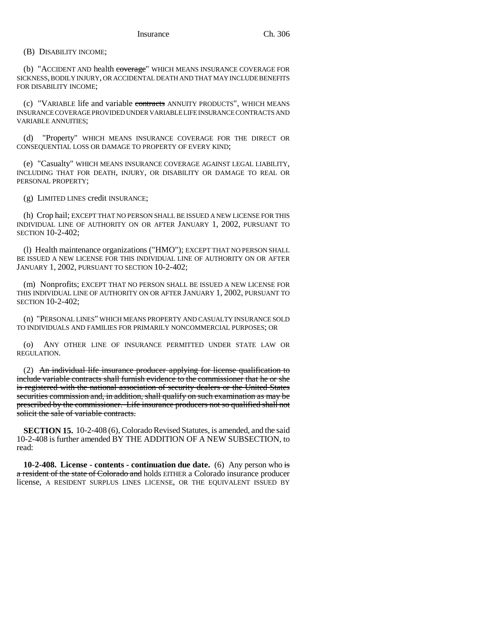(B) DISABILITY INCOME;

(b) "ACCIDENT AND health coverage" WHICH MEANS INSURANCE COVERAGE FOR SICKNESS, BODILY INJURY, OR ACCIDENTAL DEATH AND THAT MAY INCLUDE BENEFITS FOR DISABILITY INCOME;

(c) "VARIABLE life and variable contracts ANNUITY PRODUCTS", WHICH MEANS INSURANCE COVERAGE PROVIDED UNDER VARIABLE LIFE INSURANCE CONTRACTS AND VARIABLE ANNUITIES;

(d) "Property" WHICH MEANS INSURANCE COVERAGE FOR THE DIRECT OR CONSEQUENTIAL LOSS OR DAMAGE TO PROPERTY OF EVERY KIND;

(e) "Casualty" WHICH MEANS INSURANCE COVERAGE AGAINST LEGAL LIABILITY, INCLUDING THAT FOR DEATH, INJURY, OR DISABILITY OR DAMAGE TO REAL OR PERSONAL PROPERTY;

(g) LIMITED LINES credit INSURANCE;

(h) Crop hail; EXCEPT THAT NO PERSON SHALL BE ISSUED A NEW LICENSE FOR THIS INDIVIDUAL LINE OF AUTHORITY ON OR AFTER JANUARY 1, 2002, PURSUANT TO SECTION 10-2-402;

(l) Health maintenance organizations ("HMO"); EXCEPT THAT NO PERSON SHALL BE ISSUED A NEW LICENSE FOR THIS INDIVIDUAL LINE OF AUTHORITY ON OR AFTER JANUARY 1, 2002, PURSUANT TO SECTION 10-2-402;

(m) Nonprofits; EXCEPT THAT NO PERSON SHALL BE ISSUED A NEW LICENSE FOR THIS INDIVIDUAL LINE OF AUTHORITY ON OR AFTER JANUARY 1, 2002, PURSUANT TO SECTION 10-2-402;

(n) "PERSONAL LINES" WHICH MEANS PROPERTY AND CASUALTY INSURANCE SOLD TO INDIVIDUALS AND FAMILIES FOR PRIMARILY NONCOMMERCIAL PURPOSES; OR

(o) ANY OTHER LINE OF INSURANCE PERMITTED UNDER STATE LAW OR REGULATION.

(2) An individual life insurance producer applying for license qualification to include variable contracts shall furnish evidence to the commissioner that he or she is registered with the national association of security dealers or the United States securities commission and, in addition, shall qualify on such examination as may be prescribed by the commissioner. Life insurance producers not so qualified shall not solicit the sale of variable contracts.

**SECTION 15.** 10-2-408 (6), Colorado Revised Statutes, is amended, and the said 10-2-408 is further amended BY THE ADDITION OF A NEW SUBSECTION, to read:

**10-2-408. License - contents - continuation due date.** (6) Any person who is a resident of the state of Colorado and holds EITHER a Colorado insurance producer license, A RESIDENT SURPLUS LINES LICENSE, OR THE EQUIVALENT ISSUED BY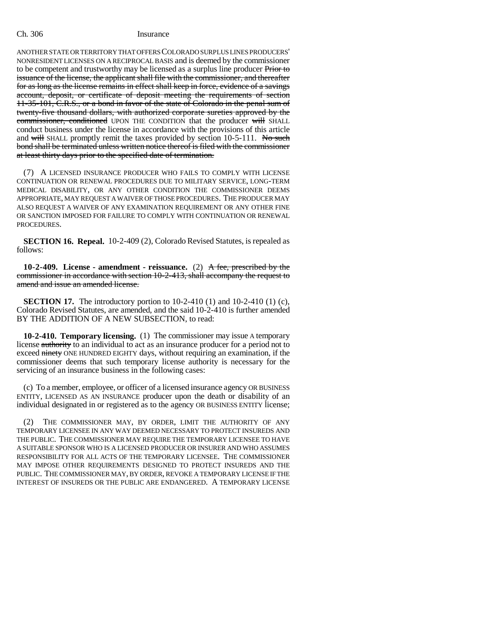ANOTHER STATE OR TERRITORY THAT OFFERS COLORADO SURPLUS LINES PRODUCERS' NONRESIDENT LICENSES ON A RECIPROCAL BASIS and is deemed by the commissioner to be competent and trustworthy may be licensed as a surplus line producer Prior to issuance of the license, the applicant shall file with the commissioner, and thereafter for as long as the license remains in effect shall keep in force, evidence of a savings account, deposit, or certificate of deposit meeting the requirements of section 11-35-101, C.R.S., or a bond in favor of the state of Colorado in the penal sum of twenty-five thousand dollars, with authorized corporate sureties approved by the commissioner, conditioned UPON THE CONDITION that the producer will SHALL conduct business under the license in accordance with the provisions of this article and will SHALL promptly remit the taxes provided by section  $10-5-111$ . No such bond shall be terminated unless written notice thereof is filed with the commissioner at least thirty days prior to the specified date of termination.

(7) A LICENSED INSURANCE PRODUCER WHO FAILS TO COMPLY WITH LICENSE CONTINUATION OR RENEWAL PROCEDURES DUE TO MILITARY SERVICE, LONG-TERM MEDICAL DISABILITY, OR ANY OTHER CONDITION THE COMMISSIONER DEEMS APPROPRIATE, MAY REQUEST A WAIVER OF THOSE PROCEDURES. THE PRODUCER MAY ALSO REQUEST A WAIVER OF ANY EXAMINATION REQUIREMENT OR ANY OTHER FINE OR SANCTION IMPOSED FOR FAILURE TO COMPLY WITH CONTINUATION OR RENEWAL PROCEDURES.

**SECTION 16. Repeal.** 10-2-409 (2), Colorado Revised Statutes, is repealed as follows:

**10-2-409. License - amendment - reissuance.** (2) A fee, prescribed by the commissioner in accordance with section 10-2-413, shall accompany the request to amend and issue an amended license.

**SECTION 17.** The introductory portion to 10-2-410 (1) and 10-2-410 (1) (c), Colorado Revised Statutes, are amended, and the said 10-2-410 is further amended BY THE ADDITION OF A NEW SUBSECTION, to read:

**10-2-410. Temporary licensing.** (1) The commissioner may issue A temporary license authority to an individual to act as an insurance producer for a period not to exceed ninety ONE HUNDRED EIGHTY days, without requiring an examination, if the commissioner deems that such temporary license authority is necessary for the servicing of an insurance business in the following cases:

(c) To a member, employee, or officer of a licensed insurance agency OR BUSINESS ENTITY, LICENSED AS AN INSURANCE producer upon the death or disability of an individual designated in or registered as to the agency OR BUSINESS ENTITY license;

(2) THE COMMISSIONER MAY, BY ORDER, LIMIT THE AUTHORITY OF ANY TEMPORARY LICENSEE IN ANY WAY DEEMED NECESSARY TO PROTECT INSUREDS AND THE PUBLIC. THE COMMISSIONER MAY REQUIRE THE TEMPORARY LICENSEE TO HAVE A SUITABLE SPONSOR WHO IS A LICENSED PRODUCER OR INSURER AND WHO ASSUMES RESPONSIBILITY FOR ALL ACTS OF THE TEMPORARY LICENSEE. THE COMMISSIONER MAY IMPOSE OTHER REQUIREMENTS DESIGNED TO PROTECT INSUREDS AND THE PUBLIC. THE COMMISSIONER MAY, BY ORDER, REVOKE A TEMPORARY LICENSE IF THE INTEREST OF INSUREDS OR THE PUBLIC ARE ENDANGERED. A TEMPORARY LICENSE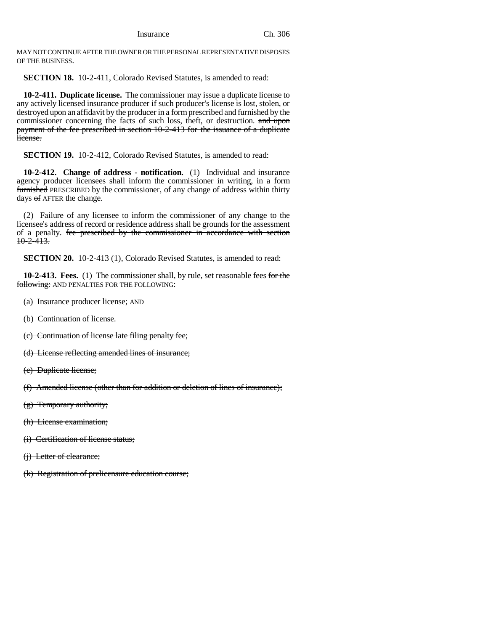MAY NOT CONTINUE AFTER THE OWNER OR THE PERSONAL REPRESENTATIVE DISPOSES OF THE BUSINESS.

**SECTION 18.** 10-2-411, Colorado Revised Statutes, is amended to read:

**10-2-411. Duplicate license.** The commissioner may issue a duplicate license to any actively licensed insurance producer if such producer's license is lost, stolen, or destroyed upon an affidavit by the producer in a form prescribed and furnished by the commissioner concerning the facts of such loss, theft, or destruction. and upon payment of the fee prescribed in section 10-2-413 for the issuance of a duplicate license.

**SECTION 19.** 10-2-412, Colorado Revised Statutes, is amended to read:

**10-2-412. Change of address - notification.** (1) Individual and insurance agency producer licensees shall inform the commissioner in writing, in a form furnished PRESCRIBED by the commissioner, of any change of address within thirty days of AFTER the change.

(2) Failure of any licensee to inform the commissioner of any change to the licensee's address of record or residence address shall be grounds for the assessment of a penalty. fee prescribed by the commissioner in accordance with section  $10-2-413.$ 

**SECTION 20.** 10-2-413 (1), Colorado Revised Statutes, is amended to read:

**10-2-413. Fees.** (1) The commissioner shall, by rule, set reasonable fees for the following: AND PENALTIES FOR THE FOLLOWING:

- (a) Insurance producer license; AND
- (b) Continuation of license.
- (c) Continuation of license late filing penalty fee;
- (d) License reflecting amended lines of insurance;
- (e) Duplicate license;
- (f) Amended license (other than for addition or deletion of lines of insurance);
- (g) Temporary authority;
- (h) License examination;
- (i) Certification of license status;
- (j) Letter of clearance;
- (k) Registration of prelicensure education course;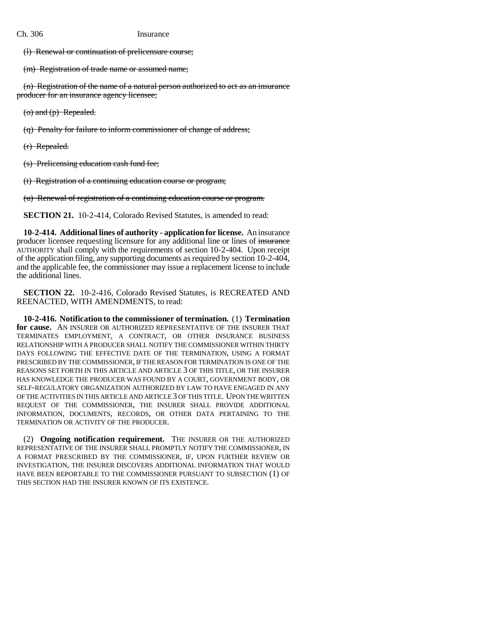(l) Renewal or continuation of prelicensure course;

(m) Registration of trade name or assumed name;

(n) Registration of the name of a natural person authorized to act as an insurance producer for an insurance agency licensee;

 $(0)$  and  $(p)$  Repealed.

(q) Penalty for failure to inform commissioner of change of address;

(r) Repealed.

(s) Prelicensing education cash fund fee;

(t) Registration of a continuing education course or program;

(u) Renewal of registration of a continuing education course or program.

**SECTION 21.** 10-2-414, Colorado Revised Statutes, is amended to read:

**10-2-414. Additional lines of authority - application for license.** An insurance producer licensee requesting licensure for any additional line or lines of insurance AUTHORITY shall comply with the requirements of section 10-2-404. Upon receipt of the application filing, any supporting documents as required by section 10-2-404, and the applicable fee, the commissioner may issue a replacement license to include the additional lines.

**SECTION 22.** 10-2-416, Colorado Revised Statutes, is RECREATED AND REENACTED, WITH AMENDMENTS, to read:

**10-2-416. Notification to the commissioner of termination.** (1) **Termination for cause.** AN INSURER OR AUTHORIZED REPRESENTATIVE OF THE INSURER THAT TERMINATES EMPLOYMENT, A CONTRACT, OR OTHER INSURANCE BUSINESS RELATIONSHIP WITH A PRODUCER SHALL NOTIFY THE COMMISSIONER WITHIN THIRTY DAYS FOLLOWING THE EFFECTIVE DATE OF THE TERMINATION, USING A FORMAT PRESCRIBED BY THE COMMISSIONER, IF THE REASON FOR TERMINATION IS ONE OF THE REASONS SET FORTH IN THIS ARTICLE AND ARTICLE 3 OF THIS TITLE, OR THE INSURER HAS KNOWLEDGE THE PRODUCER WAS FOUND BY A COURT, GOVERNMENT BODY, OR SELF-REGULATORY ORGANIZATION AUTHORIZED BY LAW TO HAVE ENGAGED IN ANY OF THE ACTIVITIES IN THIS ARTICLE AND ARTICLE 3 OF THIS TITLE. UPON THE WRITTEN REQUEST OF THE COMMISSIONER, THE INSURER SHALL PROVIDE ADDITIONAL INFORMATION, DOCUMENTS, RECORDS, OR OTHER DATA PERTAINING TO THE TERMINATION OR ACTIVITY OF THE PRODUCER.

(2) **Ongoing notification requirement.** THE INSURER OR THE AUTHORIZED REPRESENTATIVE OF THE INSURER SHALL PROMPTLY NOTIFY THE COMMISSIONER, IN A FORMAT PRESCRIBED BY THE COMMISSIONER, IF, UPON FURTHER REVIEW OR INVESTIGATION, THE INSURER DISCOVERS ADDITIONAL INFORMATION THAT WOULD HAVE BEEN REPORTABLE TO THE COMMISSIONER PURSUANT TO SUBSECTION (1) OF THIS SECTION HAD THE INSURER KNOWN OF ITS EXISTENCE.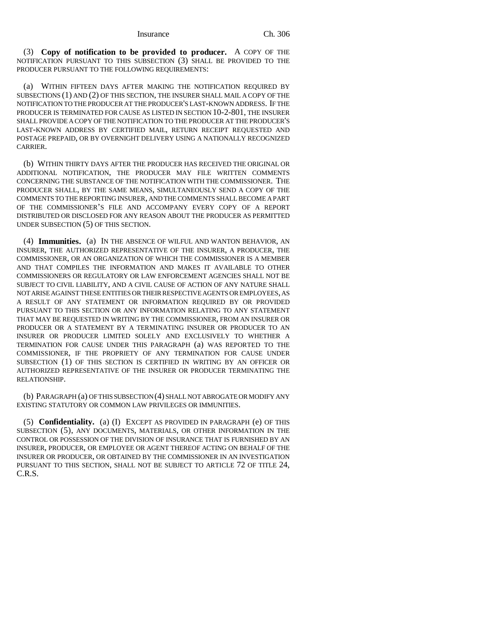(3) **Copy of notification to be provided to producer.** A COPY OF THE NOTIFICATION PURSUANT TO THIS SUBSECTION (3) SHALL BE PROVIDED TO THE PRODUCER PURSUANT TO THE FOLLOWING REQUIREMENTS:

(a) WITHIN FIFTEEN DAYS AFTER MAKING THE NOTIFICATION REQUIRED BY SUBSECTIONS (1) AND (2) OF THIS SECTION, THE INSURER SHALL MAIL A COPY OF THE NOTIFICATION TO THE PRODUCER AT THE PRODUCER'S LAST-KNOWN ADDRESS. IF THE PRODUCER IS TERMINATED FOR CAUSE AS LISTED IN SECTION 10-2-801, THE INSURER SHALL PROVIDE A COPY OF THE NOTIFICATION TO THE PRODUCER AT THE PRODUCER'S LAST-KNOWN ADDRESS BY CERTIFIED MAIL, RETURN RECEIPT REQUESTED AND POSTAGE PREPAID, OR BY OVERNIGHT DELIVERY USING A NATIONALLY RECOGNIZED CARRIER.

(b) WITHIN THIRTY DAYS AFTER THE PRODUCER HAS RECEIVED THE ORIGINAL OR ADDITIONAL NOTIFICATION, THE PRODUCER MAY FILE WRITTEN COMMENTS CONCERNING THE SUBSTANCE OF THE NOTIFICATION WITH THE COMMISSIONER. THE PRODUCER SHALL, BY THE SAME MEANS, SIMULTANEOUSLY SEND A COPY OF THE COMMENTS TO THE REPORTING INSURER, AND THE COMMENTS SHALL BECOME A PART OF THE COMMISSIONER'S FILE AND ACCOMPANY EVERY COPY OF A REPORT DISTRIBUTED OR DISCLOSED FOR ANY REASON ABOUT THE PRODUCER AS PERMITTED UNDER SUBSECTION (5) OF THIS SECTION.

(4) **Immunities.** (a) IN THE ABSENCE OF WILFUL AND WANTON BEHAVIOR, AN INSURER, THE AUTHORIZED REPRESENTATIVE OF THE INSURER, A PRODUCER, THE COMMISSIONER, OR AN ORGANIZATION OF WHICH THE COMMISSIONER IS A MEMBER AND THAT COMPILES THE INFORMATION AND MAKES IT AVAILABLE TO OTHER COMMISSIONERS OR REGULATORY OR LAW ENFORCEMENT AGENCIES SHALL NOT BE SUBJECT TO CIVIL LIABILITY, AND A CIVIL CAUSE OF ACTION OF ANY NATURE SHALL NOT ARISE AGAINST THESE ENTITIES OR THEIR RESPECTIVE AGENTS OR EMPLOYEES, AS A RESULT OF ANY STATEMENT OR INFORMATION REQUIRED BY OR PROVIDED PURSUANT TO THIS SECTION OR ANY INFORMATION RELATING TO ANY STATEMENT THAT MAY BE REQUESTED IN WRITING BY THE COMMISSIONER, FROM AN INSURER OR PRODUCER OR A STATEMENT BY A TERMINATING INSURER OR PRODUCER TO AN INSURER OR PRODUCER LIMITED SOLELY AND EXCLUSIVELY TO WHETHER A TERMINATION FOR CAUSE UNDER THIS PARAGRAPH (a) WAS REPORTED TO THE COMMISSIONER, IF THE PROPRIETY OF ANY TERMINATION FOR CAUSE UNDER SUBSECTION (1) OF THIS SECTION IS CERTIFIED IN WRITING BY AN OFFICER OR AUTHORIZED REPRESENTATIVE OF THE INSURER OR PRODUCER TERMINATING THE RELATIONSHIP.

(b) PARAGRAPH (a) OF THIS SUBSECTION (4) SHALL NOT ABROGATE OR MODIFY ANY EXISTING STATUTORY OR COMMON LAW PRIVILEGES OR IMMUNITIES.

(5) **Confidentiality.** (a) (I) EXCEPT AS PROVIDED IN PARAGRAPH (e) OF THIS SUBSECTION (5), ANY DOCUMENTS, MATERIALS, OR OTHER INFORMATION IN THE CONTROL OR POSSESSION OF THE DIVISION OF INSURANCE THAT IS FURNISHED BY AN INSURER, PRODUCER, OR EMPLOYEE OR AGENT THEREOF ACTING ON BEHALF OF THE INSURER OR PRODUCER, OR OBTAINED BY THE COMMISSIONER IN AN INVESTIGATION PURSUANT TO THIS SECTION, SHALL NOT BE SUBJECT TO ARTICLE 72 OF TITLE 24, C.R.S.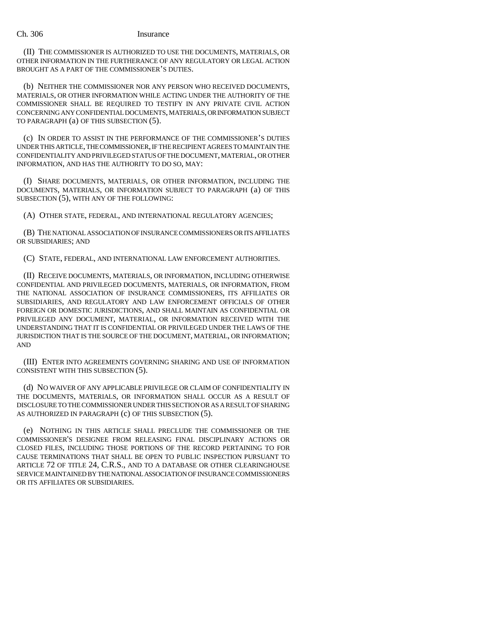(II) THE COMMISSIONER IS AUTHORIZED TO USE THE DOCUMENTS, MATERIALS, OR OTHER INFORMATION IN THE FURTHERANCE OF ANY REGULATORY OR LEGAL ACTION BROUGHT AS A PART OF THE COMMISSIONER'S DUTIES.

(b) NEITHER THE COMMISSIONER NOR ANY PERSON WHO RECEIVED DOCUMENTS, MATERIALS, OR OTHER INFORMATION WHILE ACTING UNDER THE AUTHORITY OF THE COMMISSIONER SHALL BE REQUIRED TO TESTIFY IN ANY PRIVATE CIVIL ACTION CONCERNING ANY CONFIDENTIAL DOCUMENTS, MATERIALS, OR INFORMATION SUBJECT TO PARAGRAPH (a) OF THIS SUBSECTION (5).

(c) IN ORDER TO ASSIST IN THE PERFORMANCE OF THE COMMISSIONER'S DUTIES UNDER THIS ARTICLE, THE COMMISSIONER, IF THE RECIPIENT AGREES TO MAINTAIN THE CONFIDENTIALITY AND PRIVILEGED STATUS OF THE DOCUMENT, MATERIAL, OR OTHER INFORMATION, AND HAS THE AUTHORITY TO DO SO, MAY:

(I) SHARE DOCUMENTS, MATERIALS, OR OTHER INFORMATION, INCLUDING THE DOCUMENTS, MATERIALS, OR INFORMATION SUBJECT TO PARAGRAPH (a) OF THIS SUBSECTION (5), WITH ANY OF THE FOLLOWING:

(A) OTHER STATE, FEDERAL, AND INTERNATIONAL REGULATORY AGENCIES;

(B) THE NATIONAL ASSOCIATION OF INSURANCE COMMISSIONERS OR ITS AFFILIATES OR SUBSIDIARIES; AND

(C) STATE, FEDERAL, AND INTERNATIONAL LAW ENFORCEMENT AUTHORITIES.

(II) RECEIVE DOCUMENTS, MATERIALS, OR INFORMATION, INCLUDING OTHERWISE CONFIDENTIAL AND PRIVILEGED DOCUMENTS, MATERIALS, OR INFORMATION, FROM THE NATIONAL ASSOCIATION OF INSURANCE COMMISSIONERS, ITS AFFILIATES OR SUBSIDIARIES, AND REGULATORY AND LAW ENFORCEMENT OFFICIALS OF OTHER FOREIGN OR DOMESTIC JURISDICTIONS, AND SHALL MAINTAIN AS CONFIDENTIAL OR PRIVILEGED ANY DOCUMENT, MATERIAL, OR INFORMATION RECEIVED WITH THE UNDERSTANDING THAT IT IS CONFIDENTIAL OR PRIVILEGED UNDER THE LAWS OF THE JURISDICTION THAT IS THE SOURCE OF THE DOCUMENT, MATERIAL, OR INFORMATION; AND

(III) ENTER INTO AGREEMENTS GOVERNING SHARING AND USE OF INFORMATION CONSISTENT WITH THIS SUBSECTION (5).

(d) NO WAIVER OF ANY APPLICABLE PRIVILEGE OR CLAIM OF CONFIDENTIALITY IN THE DOCUMENTS, MATERIALS, OR INFORMATION SHALL OCCUR AS A RESULT OF DISCLOSURE TO THE COMMISSIONER UNDER THIS SECTION OR AS A RESULT OF SHARING AS AUTHORIZED IN PARAGRAPH (c) OF THIS SUBSECTION (5).

(e) NOTHING IN THIS ARTICLE SHALL PRECLUDE THE COMMISSIONER OR THE COMMISSIONER'S DESIGNEE FROM RELEASING FINAL DISCIPLINARY ACTIONS OR CLOSED FILES, INCLUDING THOSE PORTIONS OF THE RECORD PERTAINING TO FOR CAUSE TERMINATIONS THAT SHALL BE OPEN TO PUBLIC INSPECTION PURSUANT TO ARTICLE 72 OF TITLE 24, C.R.S., AND TO A DATABASE OR OTHER CLEARINGHOUSE SERVICE MAINTAINED BY THE NATIONAL ASSOCIATION OF INSURANCE COMMISSIONERS OR ITS AFFILIATES OR SUBSIDIARIES.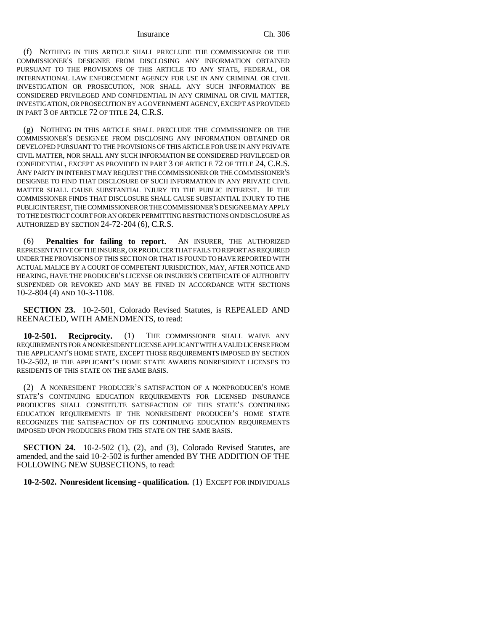(f) NOTHING IN THIS ARTICLE SHALL PRECLUDE THE COMMISSIONER OR THE COMMISSIONER'S DESIGNEE FROM DISCLOSING ANY INFORMATION OBTAINED PURSUANT TO THE PROVISIONS OF THIS ARTICLE TO ANY STATE, FEDERAL, OR INTERNATIONAL LAW ENFORCEMENT AGENCY FOR USE IN ANY CRIMINAL OR CIVIL INVESTIGATION OR PROSECUTION, NOR SHALL ANY SUCH INFORMATION BE CONSIDERED PRIVILEGED AND CONFIDENTIAL IN ANY CRIMINAL OR CIVIL MATTER, INVESTIGATION, OR PROSECUTION BY A GOVERNMENT AGENCY, EXCEPT AS PROVIDED IN PART 3 OF ARTICLE 72 OF TITLE 24, C.R.S.

(g) NOTHING IN THIS ARTICLE SHALL PRECLUDE THE COMMISSIONER OR THE COMMISSIONER'S DESIGNEE FROM DISCLOSING ANY INFORMATION OBTAINED OR DEVELOPED PURSUANT TO THE PROVISIONS OF THIS ARTICLE FOR USE IN ANY PRIVATE CIVIL MATTER, NOR SHALL ANY SUCH INFORMATION BE CONSIDERED PRIVILEGED OR CONFIDENTIAL, EXCEPT AS PROVIDED IN PART 3 OF ARTICLE 72 OF TITLE 24, C.R.S. ANY PARTY IN INTEREST MAY REQUEST THE COMMISSIONER OR THE COMMISSIONER'S DESIGNEE TO FIND THAT DISCLOSURE OF SUCH INFORMATION IN ANY PRIVATE CIVIL MATTER SHALL CAUSE SUBSTANTIAL INJURY TO THE PUBLIC INTEREST. IF THE COMMISSIONER FINDS THAT DISCLOSURE SHALL CAUSE SUBSTANTIAL INJURY TO THE PUBLIC INTEREST, THE COMMISSIONER OR THE COMMISSIONER'S DESIGNEE MAY APPLY TO THE DISTRICT COURT FOR AN ORDER PERMITTING RESTRICTIONS ON DISCLOSURE AS AUTHORIZED BY SECTION 24-72-204 (6), C.R.S.

(6) **Penalties for failing to report.** AN INSURER, THE AUTHORIZED REPRESENTATIVE OF THE INSURER, OR PRODUCER THAT FAILS TO REPORT AS REQUIRED UNDER THE PROVISIONS OF THIS SECTION OR THAT IS FOUND TO HAVE REPORTED WITH ACTUAL MALICE BY A COURT OF COMPETENT JURISDICTION, MAY, AFTER NOTICE AND HEARING, HAVE THE PRODUCER'S LICENSE OR INSURER'S CERTIFICATE OF AUTHORITY SUSPENDED OR REVOKED AND MAY BE FINED IN ACCORDANCE WITH SECTIONS 10-2-804 (4) AND 10-3-1108.

**SECTION 23.** 10-2-501, Colorado Revised Statutes, is REPEALED AND REENACTED, WITH AMENDMENTS, to read:

**10-2-501. Reciprocity.** (1) THE COMMISSIONER SHALL WAIVE ANY REQUIREMENTS FOR A NONRESIDENT LICENSE APPLICANT WITH A VALID LICENSE FROM THE APPLICANT'S HOME STATE, EXCEPT THOSE REQUIREMENTS IMPOSED BY SECTION 10-2-502, IF THE APPLICANT'S HOME STATE AWARDS NONRESIDENT LICENSES TO RESIDENTS OF THIS STATE ON THE SAME BASIS.

(2) A NONRESIDENT PRODUCER'S SATISFACTION OF A NONPRODUCER'S HOME STATE'S CONTINUING EDUCATION REQUIREMENTS FOR LICENSED INSURANCE PRODUCERS SHALL CONSTITUTE SATISFACTION OF THIS STATE'S CONTINUING EDUCATION REQUIREMENTS IF THE NONRESIDENT PRODUCER'S HOME STATE RECOGNIZES THE SATISFACTION OF ITS CONTINUING EDUCATION REQUIREMENTS IMPOSED UPON PRODUCERS FROM THIS STATE ON THE SAME BASIS.

**SECTION 24.** 10-2-502 (1), (2), and (3), Colorado Revised Statutes, are amended, and the said 10-2-502 is further amended BY THE ADDITION OF THE FOLLOWING NEW SUBSECTIONS, to read:

**10-2-502. Nonresident licensing - qualification.** (1) EXCEPT FOR INDIVIDUALS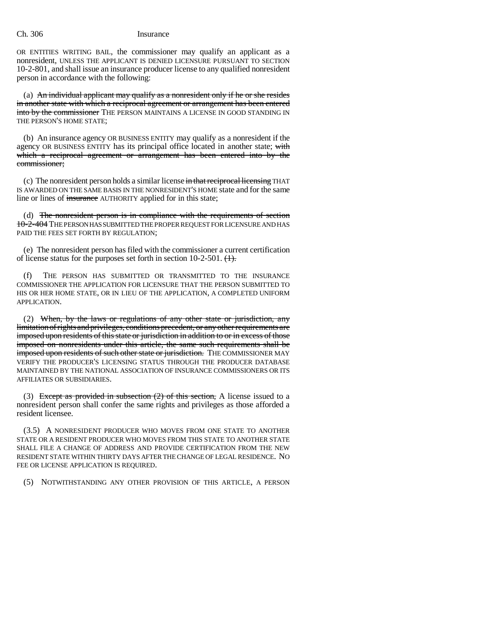OR ENTITIES WRITING BAIL, the commissioner may qualify an applicant as a nonresident, UNLESS THE APPLICANT IS DENIED LICENSURE PURSUANT TO SECTION 10-2-801, and shall issue an insurance producer license to any qualified nonresident person in accordance with the following:

(a) An individual applicant may qualify as a nonresident only if he or she resides in another state with which a reciprocal agreement or arrangement has been entered into by the commissioner THE PERSON MAINTAINS A LICENSE IN GOOD STANDING IN THE PERSON'S HOME STATE;

(b) An insurance agency OR BUSINESS ENTITY may qualify as a nonresident if the agency OR BUSINESS ENTITY has its principal office located in another state; with which a reciprocal agreement or arrangement has been entered into by the commissioner;

(c) The nonresident person holds a similar license in that reciprocal licensing THAT IS AWARDED ON THE SAME BASIS IN THE NONRESIDENT'S HOME state and for the same line or lines of insurance AUTHORITY applied for in this state;

(d) The nonresident person is in compliance with the requirements of section 10-2-404 THE PERSON HAS SUBMITTED THE PROPER REQUEST FOR LICENSURE AND HAS PAID THE FEES SET FORTH BY REGULATION;

(e) The nonresident person has filed with the commissioner a current certification of license status for the purposes set forth in section 10-2-501.  $\left(\frac{1}{1}\right)$ .

(f) THE PERSON HAS SUBMITTED OR TRANSMITTED TO THE INSURANCE COMMISSIONER THE APPLICATION FOR LICENSURE THAT THE PERSON SUBMITTED TO HIS OR HER HOME STATE, OR IN LIEU OF THE APPLICATION, A COMPLETED UNIFORM APPLICATION.

(2) When, by the laws or regulations of any other state or jurisdiction, any limitation of rights and privileges, conditions precedent, or any other requirements are imposed upon residents of this state or jurisdiction in addition to or in excess of those imposed on nonresidents under this article, the same such requirements shall be imposed upon residents of such other state or jurisdiction. THE COMMISSIONER MAY VERIFY THE PRODUCER'S LICENSING STATUS THROUGH THE PRODUCER DATABASE MAINTAINED BY THE NATIONAL ASSOCIATION OF INSURANCE COMMISSIONERS OR ITS AFFILIATES OR SUBSIDIARIES.

(3) Except as provided in subsection  $(2)$  of this section, A license issued to a nonresident person shall confer the same rights and privileges as those afforded a resident licensee.

(3.5) A NONRESIDENT PRODUCER WHO MOVES FROM ONE STATE TO ANOTHER STATE OR A RESIDENT PRODUCER WHO MOVES FROM THIS STATE TO ANOTHER STATE SHALL FILE A CHANGE OF ADDRESS AND PROVIDE CERTIFICATION FROM THE NEW RESIDENT STATE WITHIN THIRTY DAYS AFTER THE CHANGE OF LEGAL RESIDENCE. NO FEE OR LICENSE APPLICATION IS REQUIRED.

(5) NOTWITHSTANDING ANY OTHER PROVISION OF THIS ARTICLE, A PERSON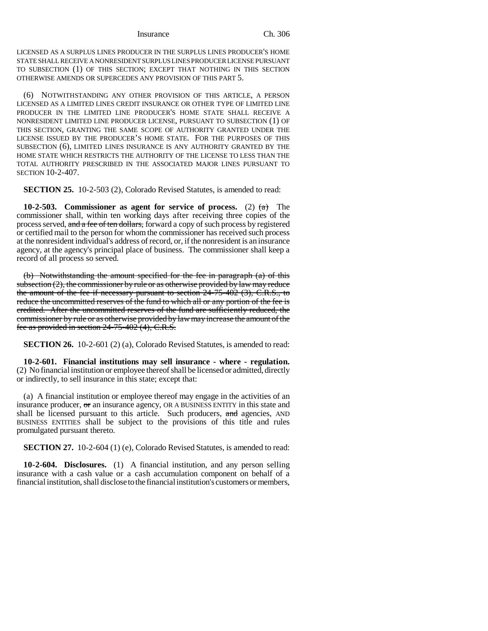LICENSED AS A SURPLUS LINES PRODUCER IN THE SURPLUS LINES PRODUCER'S HOME STATE SHALL RECEIVE A NONRESIDENT SURPLUS LINES PRODUCER LICENSE PURSUANT TO SUBSECTION (1) OF THIS SECTION; EXCEPT THAT NOTHING IN THIS SECTION OTHERWISE AMENDS OR SUPERCEDES ANY PROVISION OF THIS PART 5.

(6) NOTWITHSTANDING ANY OTHER PROVISION OF THIS ARTICLE, A PERSON LICENSED AS A LIMITED LINES CREDIT INSURANCE OR OTHER TYPE OF LIMITED LINE PRODUCER IN THE LIMITED LINE PRODUCER'S HOME STATE SHALL RECEIVE A NONRESIDENT LIMITED LINE PRODUCER LICENSE, PURSUANT TO SUBSECTION (1) OF THIS SECTION, GRANTING THE SAME SCOPE OF AUTHORITY GRANTED UNDER THE LICENSE ISSUED BY THE PRODUCER'S HOME STATE. FOR THE PURPOSES OF THIS SUBSECTION (6), LIMITED LINES INSURANCE IS ANY AUTHORITY GRANTED BY THE HOME STATE WHICH RESTRICTS THE AUTHORITY OF THE LICENSE TO LESS THAN THE TOTAL AUTHORITY PRESCRIBED IN THE ASSOCIATED MAJOR LINES PURSUANT TO SECTION 10-2-407.

**SECTION 25.** 10-2-503 (2), Colorado Revised Statutes, is amended to read:

**10-2-503.** Commissioner as agent for service of process. (2)  $\left(\frac{a}{b}\right)$  The commissioner shall, within ten working days after receiving three copies of the process served, and a fee of ten dollars, forward a copy of such process by registered or certified mail to the person for whom the commissioner has received such process at the nonresident individual's address of record, or, if the nonresident is an insurance agency, at the agency's principal place of business. The commissioner shall keep a record of all process so served.

(b) Notwithstanding the amount specified for the fee in paragraph (a) of this subsection  $(2)$ , the commissioner by rule or as otherwise provided by law may reduce the amount of the fee if necessary pursuant to section 24-75-402 (3), C.R.S., to reduce the uncommitted reserves of the fund to which all or any portion of the fee is credited. After the uncommitted reserves of the fund are sufficiently reduced, the commissioner by rule or as otherwise provided by law may increase the amount of the fee as provided in section 24-75-402 (4), C.R.S.

**SECTION 26.** 10-2-601 (2) (a), Colorado Revised Statutes, is amended to read:

**10-2-601. Financial institutions may sell insurance - where - regulation.** (2) No financial institution or employee thereof shall be licensed or admitted, directly or indirectly, to sell insurance in this state; except that:

(a) A financial institution or employee thereof may engage in the activities of an insurance producer,  $\sigma r$  an insurance agency, OR A BUSINESS ENTITY in this state and shall be licensed pursuant to this article. Such producers, and agencies, AND BUSINESS ENTITIES shall be subject to the provisions of this title and rules promulgated pursuant thereto.

**SECTION 27.** 10-2-604 (1) (e), Colorado Revised Statutes, is amended to read:

**10-2-604. Disclosures.** (1) A financial institution, and any person selling insurance with a cash value or a cash accumulation component on behalf of a financial institution, shall disclose to the financial institution's customers or members,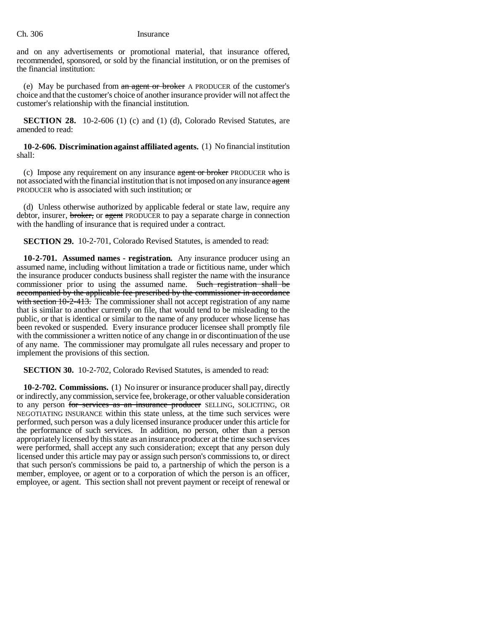and on any advertisements or promotional material, that insurance offered, recommended, sponsored, or sold by the financial institution, or on the premises of the financial institution:

(e) May be purchased from an agent or broker A PRODUCER of the customer's choice and that the customer's choice of another insurance provider will not affect the customer's relationship with the financial institution.

**SECTION 28.** 10-2-606 (1) (c) and (1) (d), Colorado Revised Statutes, are amended to read:

**10-2-606. Discrimination against affiliated agents.** (1) No financial institution shall:

(c) Impose any requirement on any insurance agent or broker PRODUCER who is not associated with the financial institution that is not imposed on any insurance agent PRODUCER who is associated with such institution; or

(d) Unless otherwise authorized by applicable federal or state law, require any debtor, insurer, broker, or agent PRODUCER to pay a separate charge in connection with the handling of insurance that is required under a contract.

**SECTION 29.** 10-2-701, Colorado Revised Statutes, is amended to read:

**10-2-701. Assumed names - registration.** Any insurance producer using an assumed name, including without limitation a trade or fictitious name, under which the insurance producer conducts business shall register the name with the insurance commissioner prior to using the assumed name. Such registration shall be accompanied by the applicable fee prescribed by the commissioner in accordance with section 10-2-413. The commissioner shall not accept registration of any name that is similar to another currently on file, that would tend to be misleading to the public, or that is identical or similar to the name of any producer whose license has been revoked or suspended. Every insurance producer licensee shall promptly file with the commissioner a written notice of any change in or discontinuation of the use of any name. The commissioner may promulgate all rules necessary and proper to implement the provisions of this section.

**SECTION 30.** 10-2-702, Colorado Revised Statutes, is amended to read:

**10-2-702. Commissions.** (1) No insurer or insurance producer shall pay, directly or indirectly, any commission, service fee, brokerage, or other valuable consideration to any person for services as an insurance producer SELLING, SOLICITING, OR NEGOTIATING INSURANCE within this state unless, at the time such services were performed, such person was a duly licensed insurance producer under this article for the performance of such services. In addition, no person, other than a person appropriately licensed by this state as an insurance producer at the time such services were performed, shall accept any such consideration; except that any person duly licensed under this article may pay or assign such person's commissions to, or direct that such person's commissions be paid to, a partnership of which the person is a member, employee, or agent or to a corporation of which the person is an officer, employee, or agent. This section shall not prevent payment or receipt of renewal or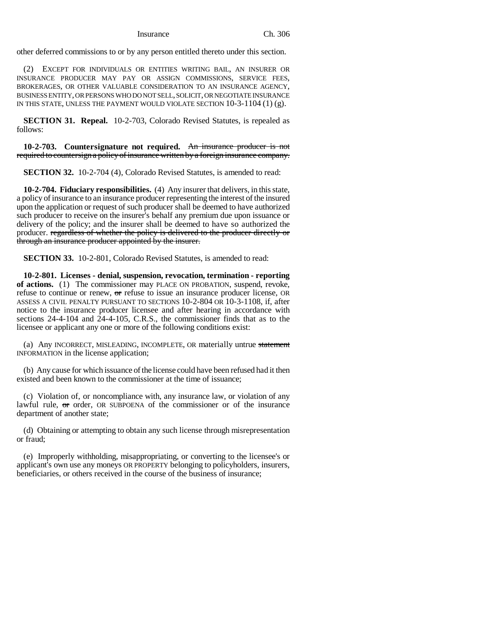other deferred commissions to or by any person entitled thereto under this section.

(2) EXCEPT FOR INDIVIDUALS OR ENTITIES WRITING BAIL, AN INSURER OR INSURANCE PRODUCER MAY PAY OR ASSIGN COMMISSIONS, SERVICE FEES, BROKERAGES, OR OTHER VALUABLE CONSIDERATION TO AN INSURANCE AGENCY, BUSINESS ENTITY, OR PERSONS WHO DO NOT SELL, SOLICIT, OR NEGOTIATE INSURANCE IN THIS STATE, UNLESS THE PAYMENT WOULD VIOLATE SECTION  $10-3-1104(1)(g)$ .

**SECTION 31. Repeal.** 10-2-703, Colorado Revised Statutes, is repealed as follows:

**10-2-703. Countersignature not required.** An insurance producer is not required to countersign a policy of insurance written by a foreign insurance company.

**SECTION 32.** 10-2-704 (4), Colorado Revised Statutes, is amended to read:

**10-2-704. Fiduciary responsibilities.** (4) Any insurer that delivers, in this state, a policy of insurance to an insurance producer representing the interest of the insured upon the application or request of such producer shall be deemed to have authorized such producer to receive on the insurer's behalf any premium due upon issuance or delivery of the policy; and the insurer shall be deemed to have so authorized the producer. regardless of whether the policy is delivered to the producer directly or through an insurance producer appointed by the insurer.

**SECTION 33.** 10-2-801, Colorado Revised Statutes, is amended to read:

**10-2-801. Licenses - denial, suspension, revocation, termination - reporting of actions.** (1) The commissioner may PLACE ON PROBATION, suspend, revoke, refuse to continue or renew,  $\sigma$ r refuse to issue an insurance producer license, OR ASSESS A CIVIL PENALTY PURSUANT TO SECTIONS 10-2-804 OR 10-3-1108, if, after notice to the insurance producer licensee and after hearing in accordance with sections 24-4-104 and 24-4-105, C.R.S., the commissioner finds that as to the licensee or applicant any one or more of the following conditions exist:

(a) Any INCORRECT, MISLEADING, INCOMPLETE, OR materially untrue statement INFORMATION in the license application;

(b) Any cause for which issuance of the license could have been refused had it then existed and been known to the commissioner at the time of issuance;

(c) Violation of, or noncompliance with, any insurance law, or violation of any lawful rule, or order, OR SUBPOENA of the commissioner or of the insurance department of another state;

(d) Obtaining or attempting to obtain any such license through misrepresentation or fraud;

(e) Improperly withholding, misappropriating, or converting to the licensee's or applicant's own use any moneys OR PROPERTY belonging to policyholders, insurers, beneficiaries, or others received in the course of the business of insurance;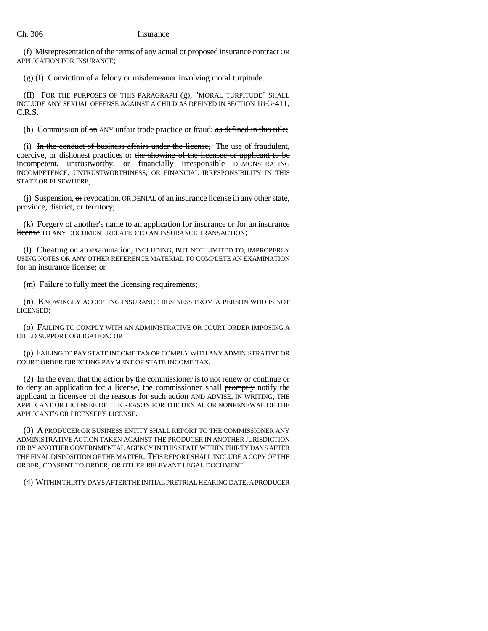(f) Misrepresentation of the terms of any actual or proposed insurance contract OR APPLICATION FOR INSURANCE;

(g) (I) Conviction of a felony or misdemeanor involving moral turpitude.

(II) FOR THE PURPOSES OF THIS PARAGRAPH (g), "MORAL TURPITUDE" SHALL INCLUDE ANY SEXUAL OFFENSE AGAINST A CHILD AS DEFINED IN SECTION 18-3-411, C.R.S.

(h) Commission of an ANY unfair trade practice or fraud; as defined in this title;

(i) In the conduct of business affairs under the license, The use of fraudulent, coercive, or dishonest practices or the showing of the licensee or applicant to be incompetent, untrustworthy, or financially irresponsible DEMONSTRATING INCOMPETENCE, UNTRUSTWORTHINESS, OR FINANCIAL IRRESPONSIBILITY IN THIS STATE OR ELSEWHERE;

(j) Suspension, or revocation, OR DENIAL of an insurance license in any other state, province, district, or territory;

 $(k)$  Forgery of another's name to an application for insurance or for an insurance license TO ANY DOCUMENT RELATED TO AN INSURANCE TRANSACTION;

(l) Cheating on an examination, INCLUDING, BUT NOT LIMITED TO, IMPROPERLY USING NOTES OR ANY OTHER REFERENCE MATERIAL TO COMPLETE AN EXAMINATION for an insurance license; or

(m) Failure to fully meet the licensing requirements;

(n) KNOWINGLY ACCEPTING INSURANCE BUSINESS FROM A PERSON WHO IS NOT LICENSED;

(o) FAILING TO COMPLY WITH AN ADMINISTRATIVE OR COURT ORDER IMPOSING A CHILD SUPPORT OBLIGATION; OR

(p) FAILING TO PAY STATE INCOME TAX OR COMPLY WITH ANY ADMINISTRATIVE OR COURT ORDER DIRECTING PAYMENT OF STATE INCOME TAX.

(2) In the event that the action by the commissioner is to not renew or continue or to deny an application for a license, the commissioner shall promptly notify the applicant or licensee of the reasons for such action AND ADVISE, IN WRITING, THE APPLICANT OR LICENSEE OF THE REASON FOR THE DENIAL OR NONRENEWAL OF THE APPLICANT'S OR LICENSEE'S LICENSE.

(3) A PRODUCER OR BUSINESS ENTITY SHALL REPORT TO THE COMMISSIONER ANY ADMINISTRATIVE ACTION TAKEN AGAINST THE PRODUCER IN ANOTHER JURISDICTION OR BY ANOTHER GOVERNMENTAL AGENCY IN THIS STATE WITHIN THIRTY DAYS AFTER THE FINAL DISPOSITION OF THE MATTER. THIS REPORT SHALL INCLUDE A COPY OF THE ORDER, CONSENT TO ORDER, OR OTHER RELEVANT LEGAL DOCUMENT.

(4) WITHIN THIRTY DAYS AFTER THE INITIAL PRETRIAL HEARING DATE, A PRODUCER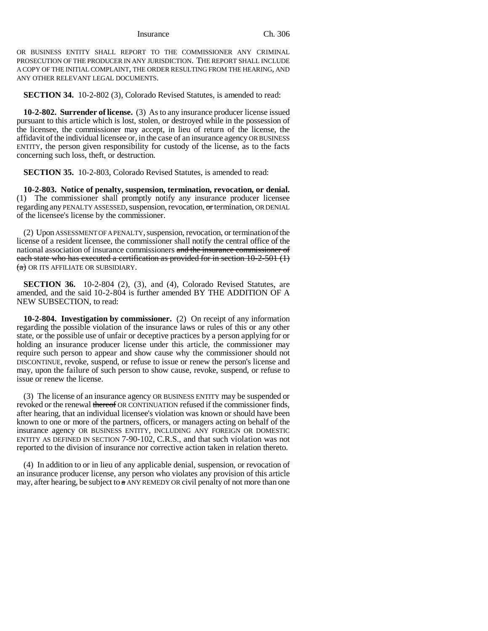OR BUSINESS ENTITY SHALL REPORT TO THE COMMISSIONER ANY CRIMINAL PROSECUTION OF THE PRODUCER IN ANY JURISDICTION. THE REPORT SHALL INCLUDE A COPY OF THE INITIAL COMPLAINT, THE ORDER RESULTING FROM THE HEARING, AND ANY OTHER RELEVANT LEGAL DOCUMENTS.

**SECTION 34.** 10-2-802 (3), Colorado Revised Statutes, is amended to read:

**10-2-802. Surrender of license.** (3) As to any insurance producer license issued pursuant to this article which is lost, stolen, or destroyed while in the possession of the licensee, the commissioner may accept, in lieu of return of the license, the affidavit of the individual licensee or, in the case of an insurance agency OR BUSINESS ENTITY, the person given responsibility for custody of the license, as to the facts concerning such loss, theft, or destruction.

**SECTION 35.** 10-2-803, Colorado Revised Statutes, is amended to read:

**10-2-803. Notice of penalty, suspension, termination, revocation, or denial.** (1) The commissioner shall promptly notify any insurance producer licensee regarding any PENALTY ASSESSED, suspension, revocation, or termination, OR DENIAL of the licensee's license by the commissioner.

(2) Upon ASSESSMENT OF A PENALTY, suspension, revocation, or termination of the license of a resident licensee, the commissioner shall notify the central office of the national association of insurance commissioners and the insurance commissioner of each state who has executed a certification as provided for in section 10-2-501 (1) (a) OR ITS AFFILIATE OR SUBSIDIARY.

**SECTION 36.** 10-2-804 (2), (3), and (4), Colorado Revised Statutes, are amended, and the said 10-2-804 is further amended BY THE ADDITION OF A NEW SUBSECTION, to read:

**10-2-804. Investigation by commissioner.** (2) On receipt of any information regarding the possible violation of the insurance laws or rules of this or any other state, or the possible use of unfair or deceptive practices by a person applying for or holding an insurance producer license under this article, the commissioner may require such person to appear and show cause why the commissioner should not DISCONTINUE, revoke, suspend, or refuse to issue or renew the person's license and may, upon the failure of such person to show cause, revoke, suspend, or refuse to issue or renew the license.

(3) The license of an insurance agency OR BUSINESS ENTITY may be suspended or revoked or the renewal thereof OR CONTINUATION refused if the commissioner finds, after hearing, that an individual licensee's violation was known or should have been known to one or more of the partners, officers, or managers acting on behalf of the insurance agency OR BUSINESS ENTITY, INCLUDING ANY FOREIGN OR DOMESTIC ENTITY AS DEFINED IN SECTION 7-90-102, C.R.S., and that such violation was not reported to the division of insurance nor corrective action taken in relation thereto.

(4) In addition to or in lieu of any applicable denial, suspension, or revocation of an insurance producer license, any person who violates any provision of this article may, after hearing, be subject to  $\alpha$  ANY REMEDY OR civil penalty of not more than one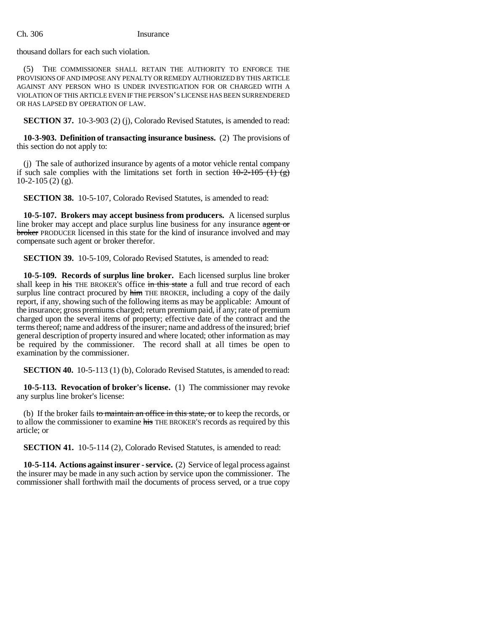thousand dollars for each such violation.

THE COMMISSIONER SHALL RETAIN THE AUTHORITY TO ENFORCE THE PROVISIONS OF AND IMPOSE ANY PENALTY OR REMEDY AUTHORIZED BY THIS ARTICLE AGAINST ANY PERSON WHO IS UNDER INVESTIGATION FOR OR CHARGED WITH A VIOLATION OF THIS ARTICLE EVEN IF THE PERSON'S LICENSE HAS BEEN SURRENDERED OR HAS LAPSED BY OPERATION OF LAW.

**SECTION 37.** 10-3-903 (2) (j), Colorado Revised Statutes, is amended to read:

**10-3-903. Definition of transacting insurance business.** (2) The provisions of this section do not apply to:

(j) The sale of authorized insurance by agents of a motor vehicle rental company if such sale complies with the limitations set forth in section  $10-2-105$  (1) (g)  $10-2-105(2)$  (g).

**SECTION 38.** 10-5-107, Colorado Revised Statutes, is amended to read:

**10-5-107. Brokers may accept business from producers.** A licensed surplus line broker may accept and place surplus line business for any insurance agent or broker PRODUCER licensed in this state for the kind of insurance involved and may compensate such agent or broker therefor.

**SECTION 39.** 10-5-109, Colorado Revised Statutes, is amended to read:

**10-5-109. Records of surplus line broker.** Each licensed surplus line broker shall keep in his THE BROKER'S office in this state a full and true record of each surplus line contract procured by him THE BROKER, including a copy of the daily report, if any, showing such of the following items as may be applicable: Amount of the insurance; gross premiums charged; return premium paid, if any; rate of premium charged upon the several items of property; effective date of the contract and the terms thereof; name and address of the insurer; name and address of the insured; brief general description of property insured and where located; other information as may be required by the commissioner. The record shall at all times be open to examination by the commissioner.

**SECTION 40.** 10-5-113 (1) (b), Colorado Revised Statutes, is amended to read:

**10-5-113. Revocation of broker's license.** (1) The commissioner may revoke any surplus line broker's license:

(b) If the broker fails to maintain an office in this state, or to keep the records, or to allow the commissioner to examine his THE BROKER'S records as required by this article; or

**SECTION 41.** 10-5-114 (2), Colorado Revised Statutes, is amended to read:

**10-5-114. Actions against insurer - service.** (2) Service of legal process against the insurer may be made in any such action by service upon the commissioner. The commissioner shall forthwith mail the documents of process served, or a true copy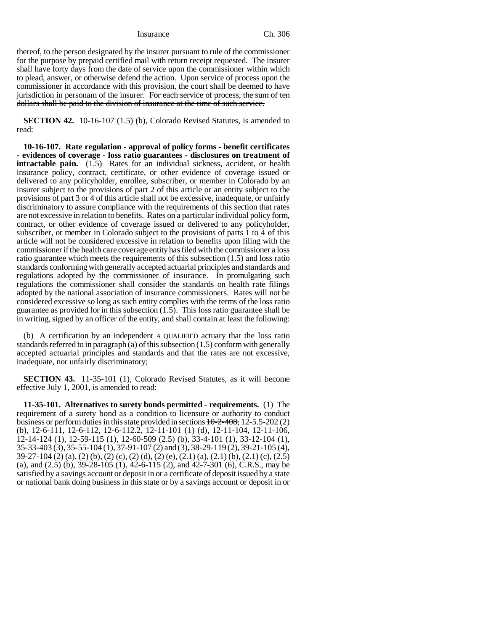thereof, to the person designated by the insurer pursuant to rule of the commissioner for the purpose by prepaid certified mail with return receipt requested. The insurer shall have forty days from the date of service upon the commissioner within which to plead, answer, or otherwise defend the action. Upon service of process upon the commissioner in accordance with this provision, the court shall be deemed to have jurisdiction in personam of the insurer. For each service of process, the sum of ten dollars shall be paid to the division of insurance at the time of such service.

**SECTION 42.** 10-16-107 (1.5) (b), Colorado Revised Statutes, is amended to read:

**10-16-107. Rate regulation - approval of policy forms - benefit certificates - evidences of coverage - loss ratio guarantees - disclosures on treatment of intractable pain.** (1.5) Rates for an individual sickness, accident, or health insurance policy, contract, certificate, or other evidence of coverage issued or delivered to any policyholder, enrollee, subscriber, or member in Colorado by an insurer subject to the provisions of part 2 of this article or an entity subject to the provisions of part 3 or 4 of this article shall not be excessive, inadequate, or unfairly discriminatory to assure compliance with the requirements of this section that rates are not excessive in relation to benefits. Rates on a particular individual policy form, contract, or other evidence of coverage issued or delivered to any policyholder, subscriber, or member in Colorado subject to the provisions of parts 1 to 4 of this article will not be considered excessive in relation to benefits upon filing with the commissioner if the health care coverage entity has filed with the commissioner a loss ratio guarantee which meets the requirements of this subsection (1.5) and loss ratio standards conforming with generally accepted actuarial principles and standards and regulations adopted by the commissioner of insurance. In promulgating such regulations the commissioner shall consider the standards on health rate filings adopted by the national association of insurance commissioners. Rates will not be considered excessive so long as such entity complies with the terms of the loss ratio guarantee as provided for in this subsection (1.5). This loss ratio guarantee shall be in writing, signed by an officer of the entity, and shall contain at least the following:

(b) A certification by  $\alpha n$  independent A QUALIFIED actuary that the loss ratio standards referred to in paragraph (a) of this subsection (1.5) conform with generally accepted actuarial principles and standards and that the rates are not excessive, inadequate, nor unfairly discriminatory;

**SECTION 43.** 11-35-101 (1), Colorado Revised Statutes, as it will become effective July 1, 2001, is amended to read:

**11-35-101. Alternatives to surety bonds permitted - requirements.** (1) The requirement of a surety bond as a condition to licensure or authority to conduct business or perform duties in this state provided in sections  $10-2-408$ , 12-5.5-202 (2) (b), 12-6-111, 12-6-112, 12-6-112.2, 12-11-101 (1) (d), 12-11-104, 12-11-106, 12-14-124 (1), 12-59-115 (1), 12-60-509 (2.5) (b), 33-4-101 (1), 33-12-104 (1), 35-33-403 (3), 35-55-104 (1), 37-91-107 (2) and (3), 38-29-119 (2), 39-21-105 (4), 39-27-104 (2) (a), (2) (b), (2) (c), (2) (d), (2) (e), (2.1) (a), (2.1) (b), (2.1) (c), (2.5) (a), and (2.5) (b), 39-28-105 (1), 42-6-115 (2), and 42-7-301 (6), C.R.S., may be satisfied by a savings account or deposit in or a certificate of deposit issued by a state or national bank doing business in this state or by a savings account or deposit in or